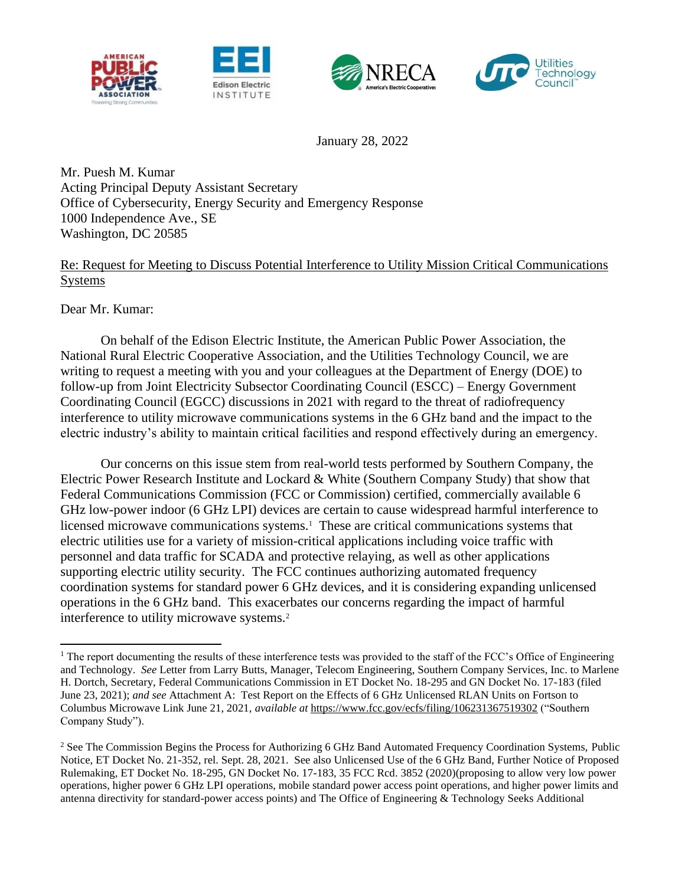





January 28, 2022

Mr. Puesh M. Kumar Acting Principal Deputy Assistant Secretary Office of Cybersecurity, Energy Security and Emergency Response 1000 Independence Ave., SE Washington, DC 20585

# Re: Request for Meeting to Discuss Potential Interference to Utility Mission Critical Communications Systems

Dear Mr. Kumar:

On behalf of the Edison Electric Institute, the American Public Power Association, the National Rural Electric Cooperative Association, and the Utilities Technology Council, we are writing to request a meeting with you and your colleagues at the Department of Energy (DOE) to follow-up from Joint Electricity Subsector Coordinating Council (ESCC) – Energy Government Coordinating Council (EGCC) discussions in 2021 with regard to the threat of radiofrequency interference to utility microwave communications systems in the 6 GHz band and the impact to the electric industry's ability to maintain critical facilities and respond effectively during an emergency.

Our concerns on this issue stem from real-world tests performed by Southern Company, the Electric Power Research Institute and Lockard & White (Southern Company Study) that show that Federal Communications Commission (FCC or Commission) certified, commercially available 6 GHz low-power indoor (6 GHz LPI) devices are certain to cause widespread harmful interference to licensed microwave communications systems.<sup>1</sup> These are critical communications systems that electric utilities use for a variety of mission-critical applications including voice traffic with personnel and data traffic for SCADA and protective relaying, as well as other applications supporting electric utility security. The FCC continues authorizing automated frequency coordination systems for standard power 6 GHz devices, and it is considering expanding unlicensed operations in the 6 GHz band. This exacerbates our concerns regarding the impact of harmful interference to utility microwave systems.<sup>2</sup>

<sup>&</sup>lt;sup>1</sup> The report documenting the results of these interference tests was provided to the staff of the FCC's Office of Engineering and Technology. *See* Letter from Larry Butts, Manager, Telecom Engineering, Southern Company Services, Inc. to Marlene H. Dortch, Secretary, Federal Communications Commission in ET Docket No. 18-295 and GN Docket No. 17-183 (filed June 23, 2021); *and see* Attachment A: Test Report on the Effects of 6 GHz Unlicensed RLAN Units on Fortson to Columbus Microwave Link June 21, 2021, *available at* <https://www.fcc.gov/ecfs/filing/106231367519302> ("Southern Company Study").

<sup>&</sup>lt;sup>2</sup> See The Commission Begins the Process for Authorizing 6 GHz Band Automated Frequency Coordination Systems, Public Notice, ET Docket No. 21-352, rel. Sept. 28, 2021. See also Unlicensed Use of the 6 GHz Band, Further Notice of Proposed Rulemaking, ET Docket No. 18-295, GN Docket No. 17-183, 35 FCC Rcd. 3852 (2020)(proposing to allow very low power operations, higher power 6 GHz LPI operations, mobile standard power access point operations, and higher power limits and antenna directivity for standard-power access points) and The Office of Engineering & Technology Seeks Additional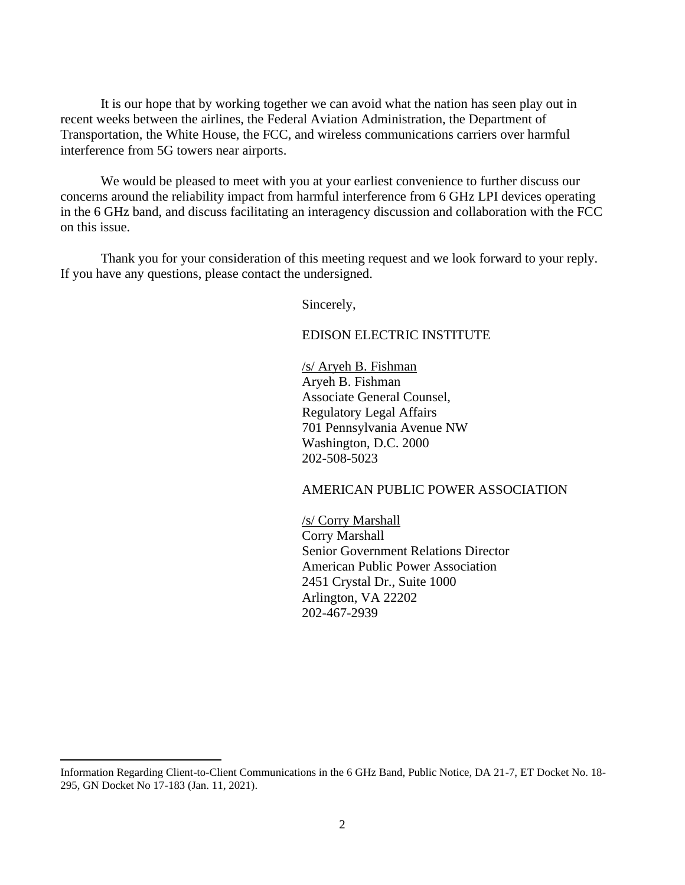It is our hope that by working together we can avoid what the nation has seen play out in recent weeks between the airlines, the Federal Aviation Administration, the Department of Transportation, the White House, the FCC, and wireless communications carriers over harmful interference from 5G towers near airports.

We would be pleased to meet with you at your earliest convenience to further discuss our concerns around the reliability impact from harmful interference from 6 GHz LPI devices operating in the 6 GHz band, and discuss facilitating an interagency discussion and collaboration with the FCC on this issue.

Thank you for your consideration of this meeting request and we look forward to your reply. If you have any questions, please contact the undersigned.

Sincerely,

#### EDISON ELECTRIC INSTITUTE

/s/ Aryeh B. Fishman Aryeh B. Fishman Associate General Counsel, Regulatory Legal Affairs 701 Pennsylvania Avenue NW Washington, D.C. 2000 202-508-5023

#### AMERICAN PUBLIC POWER ASSOCIATION

/s/ Corry Marshall Corry Marshall Senior Government Relations Director American Public Power Association 2451 Crystal Dr., Suite 1000 Arlington, VA 22202 202-467-2939

Information Regarding Client-to-Client Communications in the 6 GHz Band, Public Notice, DA 21-7, ET Docket No. 18- 295, GN Docket No 17-183 (Jan. 11, 2021).